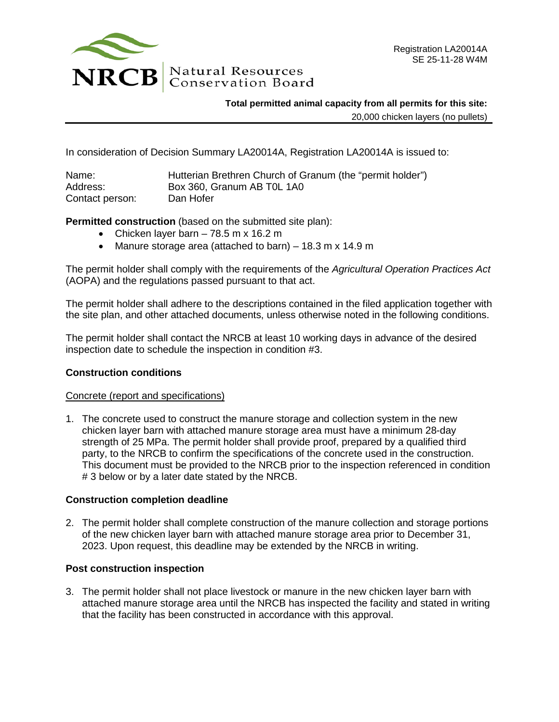

**Total permitted animal capacity from all permits for this site:**

20,000 chicken layers (no pullets)

In consideration of Decision Summary LA20014A, Registration LA20014A is issued to:

| Name:           | Hutterian Brethren Church of Granum (the "permit holder") |
|-----------------|-----------------------------------------------------------|
| Address:        | Box 360, Granum AB TOL 1A0                                |
| Contact person: | Dan Hofer                                                 |

**Permitted construction** (based on the submitted site plan):

- Chicken layer barn  $-78.5$  m x 16.2 m
- Manure storage area (attached to barn) 18.3 m x 14.9 m

The permit holder shall comply with the requirements of the *Agricultural Operation Practices Act* (AOPA) and the regulations passed pursuant to that act.

The permit holder shall adhere to the descriptions contained in the filed application together with the site plan, and other attached documents, unless otherwise noted in the following conditions.

The permit holder shall contact the NRCB at least 10 working days in advance of the desired inspection date to schedule the inspection in condition #3.

## **Construction conditions**

## Concrete (report and specifications)

1. The concrete used to construct the manure storage and collection system in the new chicken layer barn with attached manure storage area must have a minimum 28-day strength of 25 MPa. The permit holder shall provide proof, prepared by a qualified third party, to the NRCB to confirm the specifications of the concrete used in the construction. This document must be provided to the NRCB prior to the inspection referenced in condition # 3 below or by a later date stated by the NRCB.

## **Construction completion deadline**

2. The permit holder shall complete construction of the manure collection and storage portions of the new chicken layer barn with attached manure storage area prior to December 31, 2023. Upon request, this deadline may be extended by the NRCB in writing.

## **Post construction inspection**

3. The permit holder shall not place livestock or manure in the new chicken layer barn with attached manure storage area until the NRCB has inspected the facility and stated in writing that the facility has been constructed in accordance with this approval.